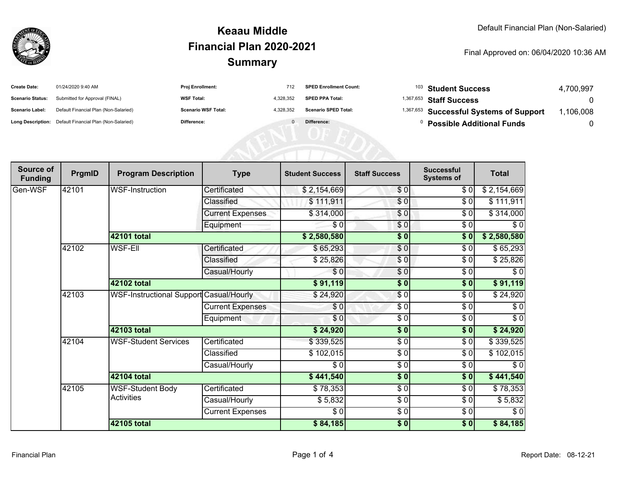

#### **SummaryKeaau MiddleFinancial Plan 2020-2021**

#### Final Approved on: 06/04/2020 10:36 AM

| <b>Create Date:</b>     | 01/24/2020 9:40 AM                                      | Proj Enrollment:           | 712       | <b>SPED Enrollment Count:</b> | <sup>103</sup> Student Success                     | 4.700.997 |
|-------------------------|---------------------------------------------------------|----------------------------|-----------|-------------------------------|----------------------------------------------------|-----------|
| <b>Scenario Status:</b> | Submitted for Approval (FINAL)                          | <b>WSF Total:</b>          | 4.328.352 | <b>SPED PPA Total:</b>        | $1,367,653$ Staff Success                          |           |
| <b>Scenario Label:</b>  | Default Financial Plan (Non-Salaried)                   | <b>Scenario WSF Total:</b> | 4.328.352 | <b>Scenario SPED Total:</b>   | <sup>1,367,653</sup> Successful Systems of Support | .106.008  |
|                         | Long Description: Default Financial Plan (Non-Salaried) | Difference:                |           | Difference:                   | <b>Possible Additional Funds</b>                   |           |

| Source of<br><b>Funding</b> | PrgmID      | <b>Program Description</b>                     | <b>Type</b>             | <b>Student Success</b> | <b>Staff Success</b> | <b>Successful</b><br><b>Systems of</b> | <b>Total</b> |
|-----------------------------|-------------|------------------------------------------------|-------------------------|------------------------|----------------------|----------------------------------------|--------------|
| Gen-WSF                     | 42101       | <b>WSF-Instruction</b>                         | Certificated            | \$2,154,669            | \$0                  | \$0                                    | \$2,154,669  |
|                             |             |                                                | Classified              | \$111,911              | $\overline{\$0}$     | \$0                                    | \$111,911    |
|                             |             |                                                | <b>Current Expenses</b> | \$314,000              | \$0                  | \$0                                    | \$314,000    |
|                             |             |                                                | Equipment               | \$0                    | \$0                  | $\sqrt{6}$                             | $\sqrt{6}$   |
|                             |             | 42101 total                                    |                         | \$2,580,580            | \$0                  | \$0                                    | \$2,580,580  |
|                             | 42102       | <b>WSF-EII</b>                                 | Certificated            | \$65,293               | $\frac{6}{6}$        | \$0                                    | \$65,293     |
|                             |             |                                                | Classified              | \$25,826               | \$0                  | \$0                                    | \$25,826     |
|                             |             |                                                | Casual/Hourly           | \$0                    | $\sqrt{6}$           | $\frac{6}{6}$                          | $\sqrt{6}$   |
|                             |             | 42102 total                                    |                         | \$91,119               | $\frac{1}{2}$        | \$0                                    | \$91,119     |
|                             | 42103       | <b>WSF-Instructional Support Casual/Hourly</b> |                         | \$24,920               | \$0                  | \$0                                    | \$24,920     |
|                             |             |                                                | <b>Current Expenses</b> | \$0                    | \$0                  | \$0                                    | \$0          |
|                             |             |                                                | Equipment               | \$0                    | $\sqrt{6}$           | $\sqrt{6}$                             | $\sqrt{6}$   |
|                             |             | 42103 total                                    |                         | \$24,920               | $\frac{1}{2}$        | \$0                                    | \$24,920     |
|                             | 42104       | <b>WSF-Student Services</b>                    | Certificated            | \$339,525              | $\sqrt{6}$           | \$0                                    | \$339,525    |
|                             |             |                                                | Classified              | \$102,015              | \$0                  | \$0                                    | \$102,015    |
|                             |             |                                                | Casual/Hourly           | \$0                    | $\sqrt{6}$           | $\sqrt{6}$                             | $\sqrt{6}$   |
|                             |             | 42104 total                                    |                         | \$441,540              | $\frac{1}{2}$        | \$0                                    | \$441,540    |
|                             | 42105       | <b>WSF-Student Body</b><br><b>Activities</b>   | Certificated            | \$78,353               | $\sqrt{6}$           | \$0                                    | \$78,353     |
|                             |             |                                                | Casual/Hourly           | \$5,832                | \$0                  | \$0                                    | \$5,832      |
|                             |             |                                                | <b>Current Expenses</b> | \$0                    | $\frac{6}{6}$        | $\sqrt{6}$                             | $\sqrt{6}$   |
|                             | 42105 total |                                                |                         | \$84,185               | $\frac{1}{2}$        | $\sqrt{6}$                             | \$84,185     |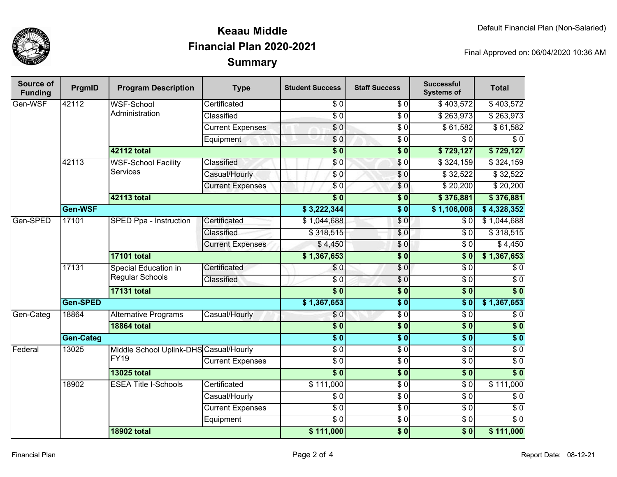

## **SummaryKeaau MiddleFinancial Plan 2020-2021**

Final Approved on: 06/04/2020 10:36 AM

| <b>Source of</b><br><b>Funding</b> | PrgmID             | <b>Program Description</b>                            | <b>Type</b>             | <b>Student Success</b> | <b>Staff Success</b> | <b>Successful</b><br><b>Systems of</b> | <b>Total</b>     |
|------------------------------------|--------------------|-------------------------------------------------------|-------------------------|------------------------|----------------------|----------------------------------------|------------------|
| Gen-WSF                            | 42112              | <b>WSF-School</b><br>Administration                   | Certificated            | $\sqrt{6}$             | $\frac{3}{6}$        | \$403,572                              | \$403,572        |
|                                    |                    |                                                       | Classified              | $\overline{S}0$        | \$0                  | \$263,973                              | \$263,973        |
|                                    |                    |                                                       | <b>Current Expenses</b> | $\sqrt{6}$             | \$ 0                 | \$61,582                               | \$61,582         |
|                                    |                    |                                                       | Equipment               | \$0                    | $\overline{\$0}$     | $\overline{\$0}$                       | $\overline{\$0}$ |
|                                    |                    | 42112 total                                           |                         | $\overline{\$0}$       | $\overline{\$0}$     | \$729,127                              | \$729,127        |
|                                    | 42113              | <b>WSF-School Facility</b>                            | Classified              | \$0                    | $\sqrt{6}$           | \$324,159                              | \$324,159        |
|                                    |                    | <b>Services</b>                                       | Casual/Hourly           | $\sqrt{6}$             | $\sqrt{0}$           | \$32,522                               | \$32,522         |
|                                    |                    |                                                       | <b>Current Expenses</b> | \$0                    | \$0                  | $\sqrt{$}20,200$                       | \$20,200         |
|                                    |                    | 42113 total                                           |                         | $\overline{\$0}$       | $\overline{\$0}$     | \$376,881                              | \$376,881        |
|                                    | Gen-WSF            |                                                       |                         | \$3,222,344            | $\overline{\$0}$     | \$1,106,008                            | \$4,328,352      |
| Gen-SPED                           | 17101              | SPED Ppa - Instruction                                | Certificated            | \$1,044,688            | \$0                  | $\overline{30}$                        | \$1,044,688      |
|                                    |                    |                                                       | Classified              | \$318,515              | \$0                  | $\overline{30}$                        | \$318,515        |
|                                    |                    |                                                       | <b>Current Expenses</b> | \$4,450                | \$0                  | $\overline{\$0}$                       | $\sqrt{4,450}$   |
|                                    |                    | <b>17101 total</b>                                    |                         | \$1,367,653            | $\overline{\$0}$     | $\overline{\$0}$                       | \$1,367,653      |
|                                    | 17131              | Special Education in<br><b>Regular Schools</b>        | Certificated            | \$0                    | \$0                  | $\overline{\$0}$                       | $\sqrt{6}$       |
|                                    |                    |                                                       | Classified              | $\overline{60}$        | $\sqrt{6}$           | $\sqrt{6}$                             | $\overline{60}$  |
|                                    |                    | <b>17131 total</b>                                    |                         | $\overline{\$0}$       | $\overline{\$0}$     | $\overline{\$0}$                       | $\overline{\$0}$ |
|                                    | Gen-SPED           |                                                       | \$1,367,653             | $\overline{\$0}$       | $\overline{\$0}$     | \$1,367,653                            |                  |
| Gen-Categ                          | 18864              | <b>Alternative Programs</b>                           | Casual/Hourly           | \$0                    | \$0                  | $\overline{\$0}$                       | $\overline{\$0}$ |
|                                    | <b>18864 total</b> |                                                       |                         | $\overline{\$0}$       | $\overline{\$0}$     | $\overline{\$0}$                       | $\overline{\$0}$ |
|                                    | <b>Gen-Categ</b>   |                                                       |                         | $\overline{\$0}$       | $\overline{\$0}$     | $\overline{\$0}$                       | $\overline{\$0}$ |
| Federal                            | 13025              | Middle School Uplink-DHS Casual/Hourly<br><b>FY19</b> |                         | $\overline{\$0}$       | $\sqrt{6}$           | $\overline{S}0$                        | $\sqrt{6}$       |
|                                    |                    |                                                       | <b>Current Expenses</b> | $\overline{60}$        | $\sqrt{6}$           | $\overline{\$0}$                       | \$0              |
|                                    |                    | <b>13025 total</b>                                    |                         | $\overline{\$0}$       | $\overline{\$0}$     | $\overline{\$0}$                       | $\overline{\$0}$ |
|                                    | 18902              | <b>ESEA Title I-Schools</b>                           | Certificated            | \$111,000              | $\overline{60}$      | $\overline{S}0$                        | \$111,000        |
|                                    |                    |                                                       | Casual/Hourly           | $\sqrt{6}$             | \$0                  | $\overline{\$0}$                       | $\overline{\$0}$ |
|                                    |                    |                                                       | <b>Current Expenses</b> | $\overline{\$0}$       | \$0                  | $\overline{S}0$                        | $\overline{\$0}$ |
|                                    |                    |                                                       | Equipment               | $\overline{\$0}$       | \$ 0                 | $\sqrt{6}$                             | $\overline{\$0}$ |
|                                    |                    | <b>18902 total</b>                                    |                         | \$111,000              | $\overline{\$0}$     | $\overline{\$0}$                       | \$111,000        |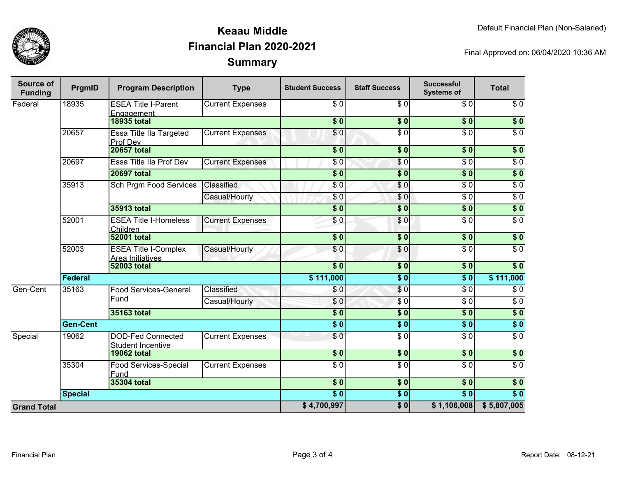

### **SummaryKeaau MiddleFinancial Plan 2020-2021**

Final Approved on: 06/04/2020 10:36 AM

| Source of<br><b>Funding</b> | PrgmID             | <b>Program Description</b>                           | <b>Type</b>                  | <b>Student Success</b>          | <b>Staff Success</b> | <b>Successful</b><br><b>Systems of</b> | <b>Total</b>     |                  |
|-----------------------------|--------------------|------------------------------------------------------|------------------------------|---------------------------------|----------------------|----------------------------------------|------------------|------------------|
| Federal                     | 18935              | <b>ESEA Title I-Parent</b><br>Engagement             | <b>Current Expenses</b>      | $\sqrt{6}$                      | $\overline{\$0}$     | $\sqrt{6}$                             | $\sqrt{6}$       |                  |
|                             |                    | <b>18935 total</b>                                   |                              | $\overline{\$0}$                | $\overline{\$0}$     | $\overline{\$0}$                       | $\sqrt{ }$       |                  |
|                             | 20657              | <b>Essa Title IIa Targeted</b><br>Prof Dev           | <b>Current Expenses</b>      | $\overline{\$0}$                | $\overline{\$0}$     | $\overline{\$0}$                       | $\overline{\$0}$ |                  |
|                             |                    | <b>20657 total</b>                                   |                              | $\sqrt{6}$                      | $\sqrt{6}$           | \$0                                    | $\sqrt{6}$       |                  |
|                             | 20697              | Essa Title IIa Prof Dev                              | <b>Current Expenses</b>      | \$0                             | $\sqrt{6}$           | $\overline{\$0}$                       | $\sqrt{6}$       |                  |
|                             | <b>20697 total</b> |                                                      |                              | $\overline{\$0}$                | $\sqrt{6}$           | $\overline{\$0}$                       | \$0              |                  |
|                             | 35913              | <b>Sch Prgm Food Services</b>                        | Classified                   | \$0                             | \$0                  | $\sqrt{6}$                             | $\sqrt{6}$       |                  |
|                             |                    |                                                      | Casual/Hourly                | \$0                             | \$0                  | $\overline{\$0}$                       | $\overline{S}0$  |                  |
|                             |                    | 35913 total                                          |                              | $\overline{\$0}$                | \$0                  | $\overline{\$0}$                       | $\overline{\$0}$ |                  |
|                             | 52001              | <b>ESEA Title I-Homeless</b><br>Children             | <b>Current Expenses</b>      | \$0                             | \$0                  | $\sqrt{6}$                             | $\sqrt{6}$       |                  |
|                             |                    | <b>52001 total</b>                                   |                              | $\overline{\$0}$                | $\overline{\$0}$     | $\overline{\$0}$                       | $\overline{\$0}$ |                  |
|                             | 52003              | <b>ESEA Title I-Complex</b><br>Area Initiatives      | Casual/Hourly                | \$0                             | $\overline{\$0}$     | $\overline{\$0}$                       | $\overline{50}$  |                  |
|                             | <b>52003 total</b> |                                                      |                              | $\overline{\bullet}$            | $\overline{\$0}$     | $\overline{\$0}$                       | $\overline{\$0}$ |                  |
|                             | Federal            |                                                      |                              | \$111,000                       | $\overline{\$0}$     | $\overline{\$0}$                       | \$111,000        |                  |
| Gen-Cent                    | 35163              | Fund                                                 | <b>Food Services-General</b> | Classified                      | \$0                  | \$0                                    | $\overline{\$0}$ | \$0              |
|                             |                    |                                                      |                              | Casual/Hourly                   | \$0                  | $\overline{\$0}$                       | $\overline{\$0}$ | $\overline{\$0}$ |
|                             |                    | 35163 total                                          |                              | $\overline{\$}0$                | $\overline{\$0}$     | $\overline{\$0}$                       | \$0              |                  |
|                             | <b>Gen-Cent</b>    |                                                      |                              | $\overline{\bullet}$            | $\overline{\$0}$     | $\overline{\$0}$                       | $\sqrt{ }$       |                  |
| Special                     | 19062              | <b>DOD-Fed Connected</b><br><b>Student Incentive</b> | <b>Current Expenses</b>      | $\overline{\$0}$                | $\overline{\$0}$     | $\overline{\$0}$                       | $\overline{\$0}$ |                  |
|                             |                    | <b>19062 total</b>                                   |                              | $\overline{\$0}$                | $\overline{\$0}$     | $\overline{\$0}$                       | $\overline{\$0}$ |                  |
|                             | 35304              | Food Services-Special<br>Fund                        | <b>Current Expenses</b>      | $\sqrt{6}$                      | $\overline{\$0}$     | $\sqrt{6}$                             | $\sqrt{6}$       |                  |
|                             |                    | 35304 total                                          |                              | $\overline{\$0}$                | $\overline{\$0}$     | $\overline{\$0}$                       | $\overline{\$0}$ |                  |
|                             | <b>Special</b>     |                                                      |                              | $\overline{\$0}$<br>\$4,700,997 | $\overline{\$0}$     | $\overline{\$0}$                       | $\overline{\$0}$ |                  |
| <b>Grand Total</b>          |                    |                                                      |                              |                                 | $\overline{\$0}$     | \$1,106,008                            | \$5,807,005      |                  |